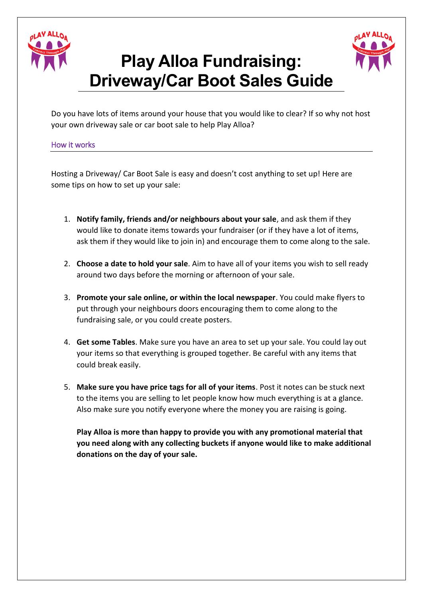

## **Play Alloa Fundraising: Driveway/Car Boot Sales Guide**



Do you have lots of items around your house that you would like to clear? If so why not host your own driveway sale or car boot sale to help Play Alloa?

How it works

Hosting a Driveway/ Car Boot Sale is easy and doesn't cost anything to set up! Here are some tips on how to set up your sale:

- 1. **Notify family, friends and/or neighbours about your sale**, and ask them if they would like to donate items towards your fundraiser (or if they have a lot of items, ask them if they would like to join in) and encourage them to come along to the sale.
- 2. **Choose a date to hold your sale**. Aim to have all of your items you wish to sell ready around two days before the morning or afternoon of your sale.
- 3. **Promote your sale online, or within the local newspaper**. You could make flyers to put through your neighbours doors encouraging them to come along to the fundraising sale, or you could create posters.
- 4. **Get some Tables**. Make sure you have an area to set up your sale. You could lay out your items so that everything is grouped together. Be careful with any items that could break easily.
- 5. **Make sure you have price tags for all of your items**. Post it notes can be stuck next to the items you are selling to let people know how much everything is at a glance. Also make sure you notify everyone where the money you are raising is going.

**Play Alloa is more than happy to provide you with any promotional material that you need along with any collecting buckets if anyone would like to make additional donations on the day of your sale.**